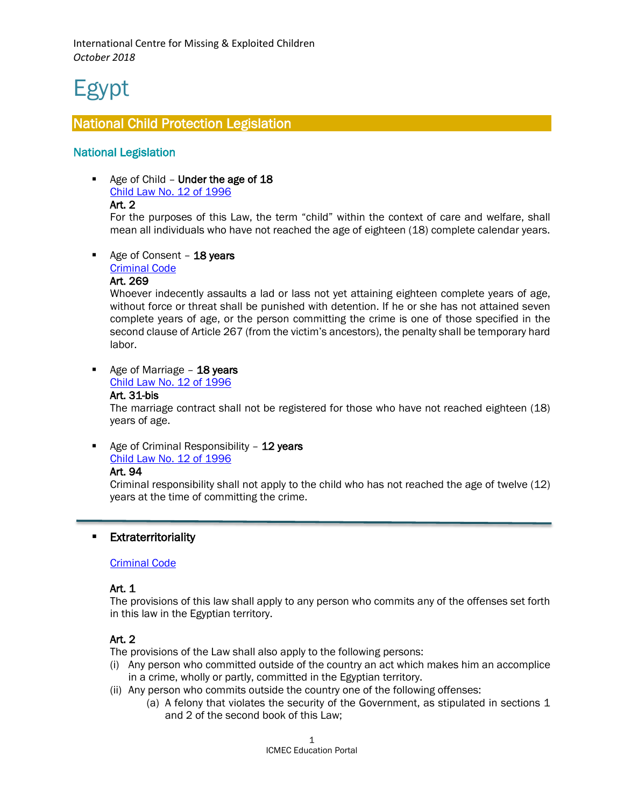# Egypt

 $\overline{a}$ 

# National Child Protection Legislation

# National Legislation

Age of Child - Under the age of 18 [Child Law No. 12 of 1996](https://www.unodc.org/res/cld/document/egy/2002/egypt_child_act_english_html/Egypt_Child_Act_English.pdf)

## Art. 2

For the purposes of this Law, the term "child" within the context of care and welfare, shall mean all individuals who have not reached the age of eighteen (18) complete calendar years.

Age of Consent - 18 years

[Criminal Code](https://manshurat.org/node/14677)

#### Art. 269

Whoever indecently assaults a lad or lass not yet attaining eighteen complete years of age, without force or threat shall be punished with detention. If he or she has not attained seven complete years of age, or the person committing the crime is one of those specified in the second clause of Article 267 (from the victim's ancestors), the penalty shall be temporary hard labor.

Age of Marriage - 18 years

# [Child Law No. 12 of 1996](https://www.unodc.org/res/cld/document/egy/2002/egypt_child_act_english_html/Egypt_Child_Act_English.pdf)

#### Art. 31-bis

The marriage contract shall not be registered for those who have not reached eighteen (18) years of age.

Age of Criminal Responsibility  $-12$  years [Child Law No. 12 of 1996](https://www.unodc.org/res/cld/document/egy/2002/egypt_child_act_english_html/Egypt_Child_Act_English.pdf)

# Art. 94

Criminal responsibility shall not apply to the child who has not reached the age of twelve (12) years at the time of committing the crime.

## **Extraterritoriality**

#### [Criminal Code](https://manshurat.org/node/14677)

## Art. 1

The provisions of this law shall apply to any person who commits any of the offenses set forth in this law in the Egyptian territory.

## Art. 2

The provisions of the Law shall also apply to the following persons:

- (i) Any person who committed outside of the country an act which makes him an accomplice in a crime, wholly or partly, committed in the Egyptian territory.
- (ii) Any person who commits outside the country one of the following offenses:
	- (a) A felony that violates the security of the Government, as stipulated in sections 1 and 2 of the second book of this Law;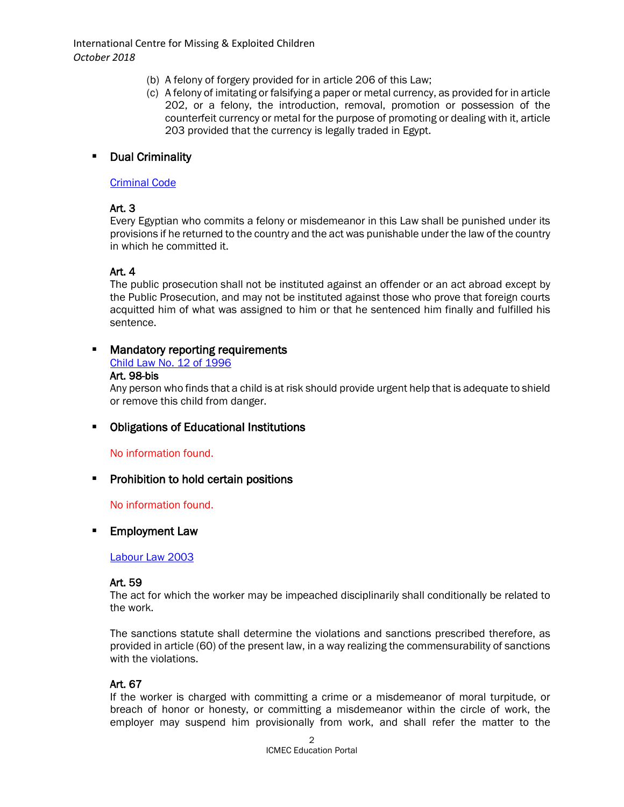- (b) A felony of forgery provided for in article 206 of this Law;
- (c) A felony of imitating or falsifying a paper or metal currency, as provided for in article 202, or a felony, the introduction, removal, promotion or possession of the counterfeit currency or metal for the purpose of promoting or dealing with it, article 203 provided that the currency is legally traded in Egypt.

## Dual Criminality

#### [Criminal Code](https://manshurat.org/node/14677)

# Art. 3

Every Egyptian who commits a felony or misdemeanor in this Law shall be punished under its provisions if he returned to the country and the act was punishable under the law of the country in which he committed it.

# Art. 4

The public prosecution shall not be instituted against an offender or an act abroad except by the Public Prosecution, and may not be instituted against those who prove that foreign courts acquitted him of what was assigned to him or that he sentenced him finally and fulfilled his sentence.

# Mandatory reporting requirements

[Child Law No. 12 of 1996](https://www.unodc.org/res/cld/document/egy/2002/egypt_child_act_english_html/Egypt_Child_Act_English.pdf)

#### Art. 98-bis

Any person who finds that a child is at risk should provide urgent help that is adequate to shield or remove this child from danger.

# Obligations of Educational Institutions

## No information found.

## **Prohibition to hold certain positions**

No information found.

## **Employment Law**

#### [Labour Law 2003](http://www.ilo.org/dyn/travail/docs/469/Labour%20Law%202003%20-%20Bk%202%20-%20Individual%20Labour%20Relps%20-%20www.egypt.gov.eg%20-%2024032011.pdf)

#### Art. 59

The act for which the worker may be impeached disciplinarily shall conditionally be related to the work.

The sanctions statute shall determine the violations and sanctions prescribed therefore, as provided in article (60) of the present law, in a way realizing the commensurability of sanctions with the violations.

## Art. 67

If the worker is charged with committing a crime or a misdemeanor of moral turpitude, or breach of honor or honesty, or committing a misdemeanor within the circle of work, the employer may suspend him provisionally from work, and shall refer the matter to the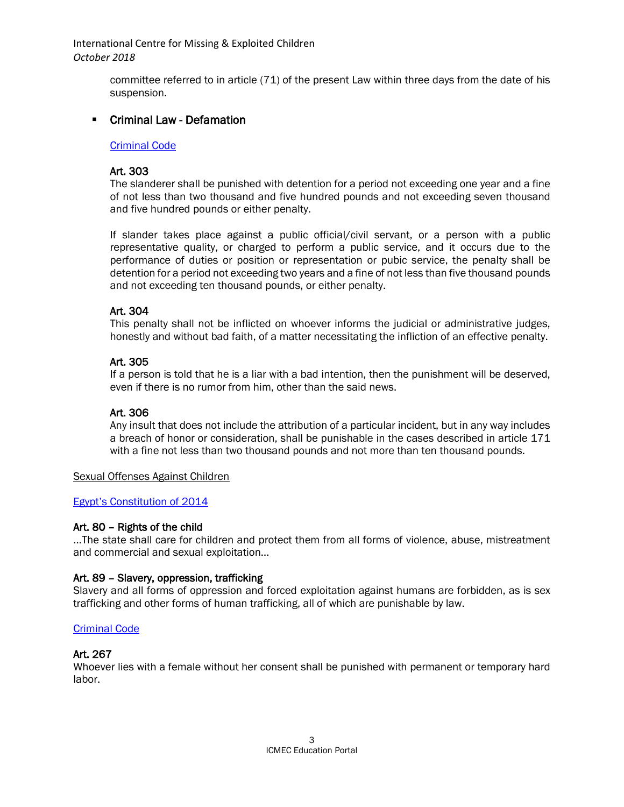> committee referred to in article (71) of the present Law within three days from the date of his suspension.

## **EXECT** Criminal Law - Defamation

#### [Criminal Code](https://www.unodc.org/res/cld/document/criminal_code_of_egypt_english_html/Egypt_Criminal_Code_English.pdf)

#### Art. 303

The slanderer shall be punished with detention for a period not exceeding one year and a fine of not less than two thousand and five hundred pounds and not exceeding seven thousand and five hundred pounds or either penalty.

If slander takes place against a public official/civil servant, or a person with a public representative quality, or charged to perform a public service, and it occurs due to the performance of duties or position or representation or pubic service, the penalty shall be detention for a period not exceeding two years and a fine of not less than five thousand pounds and not exceeding ten thousand pounds, or either penalty.

#### Art. 304

This penalty shall not be inflicted on whoever informs the judicial or administrative judges, honestly and without bad faith, of a matter necessitating the infliction of an effective penalty.

#### Art. 305

If a person is told that he is a liar with a bad intention, then the punishment will be deserved, even if there is no rumor from him, other than the said news.

## Art. 306

Any insult that does not include the attribution of a particular incident, but in any way includes a breach of honor or consideration, shall be punishable in the cases described in article 171 with a fine not less than two thousand pounds and not more than ten thousand pounds.

#### Sexual Offenses Against Children

#### [Egypt's Constitution of 2014](https://www.constituteproject.org/constitution/Egypt_2014.pdf)

#### Art. 80 – Rights of the child

…The state shall care for children and protect them from all forms of violence, abuse, mistreatment and commercial and sexual exploitation…

#### Art. 89 – Slavery, oppression, trafficking

Slavery and all forms of oppression and forced exploitation against humans are forbidden, as is sex trafficking and other forms of human trafficking, all of which are punishable by law.

#### [Criminal Code](https://www.unodc.org/res/cld/document/criminal_code_of_egypt_english_html/Egypt_Criminal_Code_English.pdf)

#### Art. 267

Whoever lies with a female without her consent shall be punished with permanent or temporary hard labor.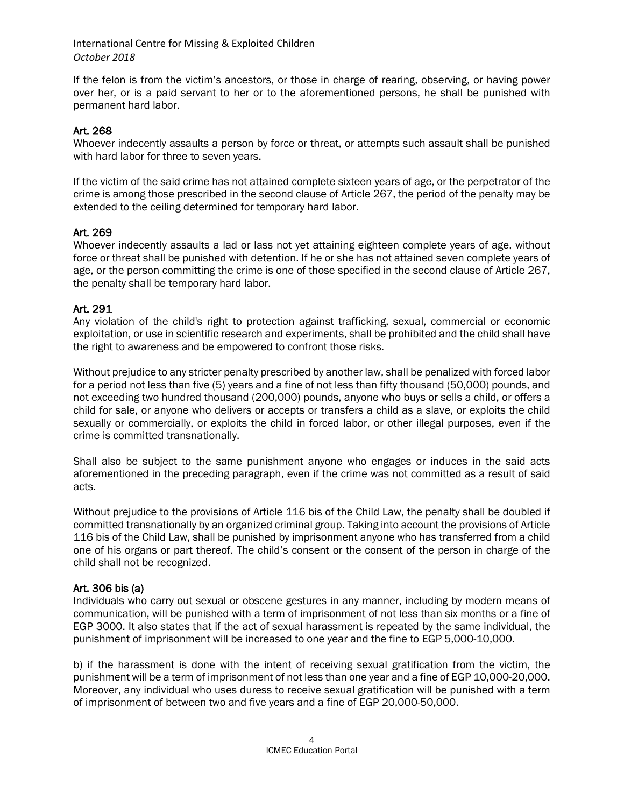If the felon is from the victim's ancestors, or those in charge of rearing, observing, or having power over her, or is a paid servant to her or to the aforementioned persons, he shall be punished with permanent hard labor.

#### Art. 268

Whoever indecently assaults a person by force or threat, or attempts such assault shall be punished with hard labor for three to seven years.

If the victim of the said crime has not attained complete sixteen years of age, or the perpetrator of the crime is among those prescribed in the second clause of Article 267, the period of the penalty may be extended to the ceiling determined for temporary hard labor.

#### Art. 269

Whoever indecently assaults a lad or lass not yet attaining eighteen complete years of age, without force or threat shall be punished with detention. If he or she has not attained seven complete years of age, or the person committing the crime is one of those specified in the second clause of Article 267, the penalty shall be temporary hard labor.

#### Art. 291

Any violation of the child's right to protection against trafficking, sexual, commercial or economic exploitation, or use in scientific research and experiments, shall be prohibited and the child shall have the right to awareness and be empowered to confront those risks.

Without prejudice to any stricter penalty prescribed by another law, shall be penalized with forced labor for a period not less than five (5) years and a fine of not less than fifty thousand (50,000) pounds, and not exceeding two hundred thousand (200,000) pounds, anyone who buys or sells a child, or offers a child for sale, or anyone who delivers or accepts or transfers a child as a slave, or exploits the child sexually or commercially, or exploits the child in forced labor, or other illegal purposes, even if the crime is committed transnationally.

Shall also be subject to the same punishment anyone who engages or induces in the said acts aforementioned in the preceding paragraph, even if the crime was not committed as a result of said acts.

Without prejudice to the provisions of Article 116 bis of the Child Law, the penalty shall be doubled if committed transnationally by an organized criminal group. Taking into account the provisions of Article 116 bis of the Child Law, shall be punished by imprisonment anyone who has transferred from a child one of his organs or part thereof. The child's consent or the consent of the person in charge of the child shall not be recognized.

## Art. 306 bis (a)

Individuals who carry out sexual or obscene gestures in any manner, including by modern means of communication, will be punished with a term of imprisonment of not less than six months or a fine of EGP 3000. It also states that if the act of sexual harassment is repeated by the same individual, the punishment of imprisonment will be increased to one year and the fine to EGP 5,000-10,000.

b) if the harassment is done with the intent of receiving sexual gratification from the victim, the punishment will be a term of imprisonment of not less than one year and a fine of EGP 10,000-20,000. Moreover, any individual who uses duress to receive sexual gratification will be punished with a term of imprisonment of between two and five years and a fine of EGP 20,000-50,000.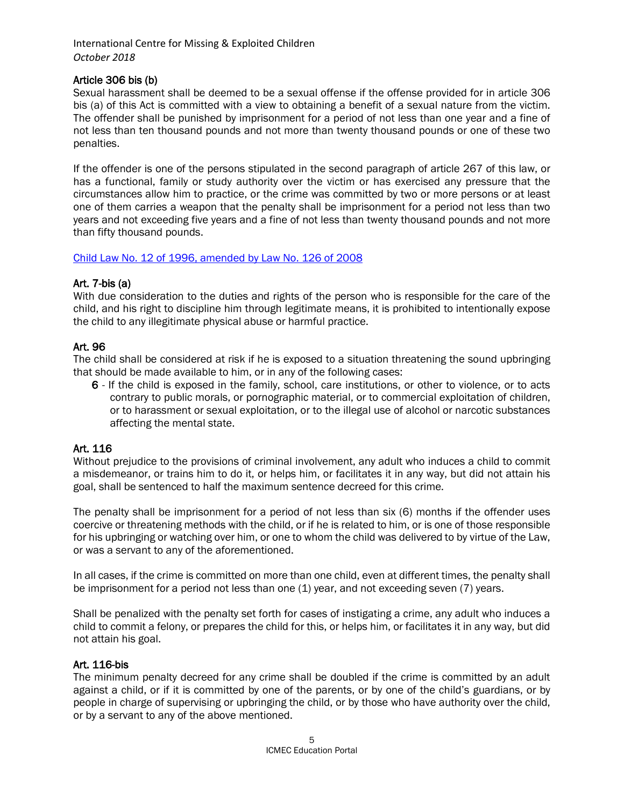## Article 306 bis (b)

Sexual harassment shall be deemed to be a sexual offense if the offense provided for in article 306 bis (a) of this Act is committed with a view to obtaining a benefit of a sexual nature from the victim. The offender shall be punished by imprisonment for a period of not less than one year and a fine of not less than ten thousand pounds and not more than twenty thousand pounds or one of these two penalties.

If the offender is one of the persons stipulated in the second paragraph of article 267 of this law, or has a functional, family or study authority over the victim or has exercised any pressure that the circumstances allow him to practice, or the crime was committed by two or more persons or at least one of them carries a weapon that the penalty shall be imprisonment for a period not less than two years and not exceeding five years and a fine of not less than twenty thousand pounds and not more than fifty thousand pounds.

#### Child Law [No. 12 of 1996, amended by Law No. 126 of 2008](http://www.nccm-egypt.org/e7/e2498/e2691/infoboxContent2692/ChildLawno126english_eng.pdf)

#### Art. 7-bis (a)

With due consideration to the duties and rights of the person who is responsible for the care of the child, and his right to discipline him through legitimate means, it is prohibited to intentionally expose the child to any illegitimate physical abuse or harmful practice.

## Art. 96

The child shall be considered at risk if he is exposed to a situation threatening the sound upbringing that should be made available to him, or in any of the following cases:

6 - If the child is exposed in the family, school, care institutions, or other to violence, or to acts contrary to public morals, or pornographic material, or to commercial exploitation of children, or to harassment or sexual exploitation, or to the illegal use of alcohol or narcotic substances affecting the mental state.

## Art. 116

Without prejudice to the provisions of criminal involvement, any adult who induces a child to commit a misdemeanor, or trains him to do it, or helps him, or facilitates it in any way, but did not attain his goal, shall be sentenced to half the maximum sentence decreed for this crime.

The penalty shall be imprisonment for a period of not less than six (6) months if the offender uses coercive or threatening methods with the child, or if he is related to him, or is one of those responsible for his upbringing or watching over him, or one to whom the child was delivered to by virtue of the Law, or was a servant to any of the aforementioned.

In all cases, if the crime is committed on more than one child, even at different times, the penalty shall be imprisonment for a period not less than one (1) year, and not exceeding seven (7) years.

Shall be penalized with the penalty set forth for cases of instigating a crime, any adult who induces a child to commit a felony, or prepares the child for this, or helps him, or facilitates it in any way, but did not attain his goal.

#### Art. 116-bis

The minimum penalty decreed for any crime shall be doubled if the crime is committed by an adult against a child, or if it is committed by one of the parents, or by one of the child's guardians, or by people in charge of supervising or upbringing the child, or by those who have authority over the child, or by a servant to any of the above mentioned.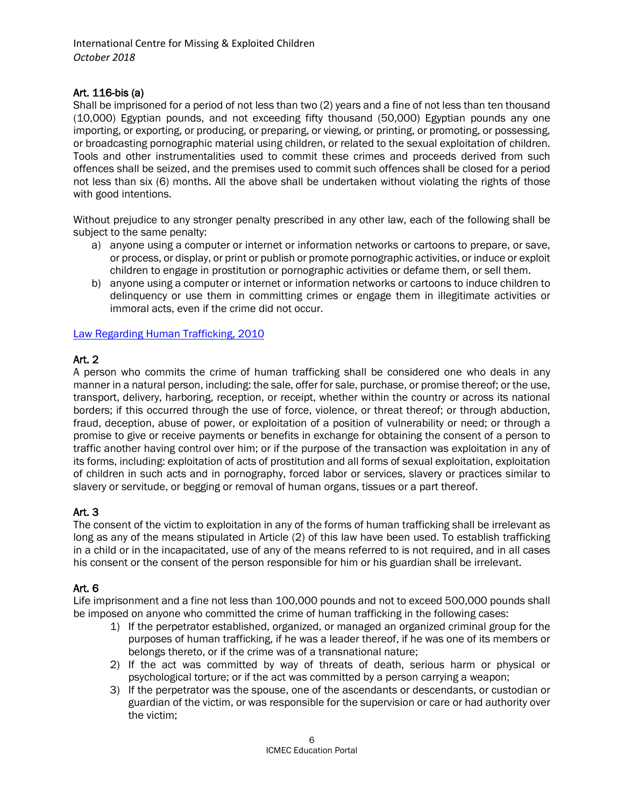## Art. 116-bis (a)

Shall be imprisoned for a period of not less than two (2) years and a fine of not less than ten thousand (10,000) Egyptian pounds, and not exceeding fifty thousand (50,000) Egyptian pounds any one importing, or exporting, or producing, or preparing, or viewing, or printing, or promoting, or possessing, or broadcasting pornographic material using children, or related to the sexual exploitation of children. Tools and other instrumentalities used to commit these crimes and proceeds derived from such offences shall be seized, and the premises used to commit such offences shall be closed for a period not less than six (6) months. All the above shall be undertaken without violating the rights of those with good intentions.

Without prejudice to any stronger penalty prescribed in any other law, each of the following shall be subject to the same penalty:

- a) anyone using a computer or internet or information networks or cartoons to prepare, or save, or process, or display, or print or publish or promote pornographic activities, or induce or exploit children to engage in prostitution or pornographic activities or defame them, or sell them.
- b) anyone using a computer or internet or information networks or cartoons to induce children to delinquency or use them in committing crimes or engage them in illegitimate activities or immoral acts, even if the crime did not occur.

[Law Regarding Human Trafficking, 2010](http://www.africanchildforum.org/clr/Legislation%20Per%20Country/Egypt/egypt_trafficking_%202010_fr.pdf)

# Art. 2

A person who commits the crime of human trafficking shall be considered one who deals in any manner in a natural person, including: the sale, offer for sale, purchase, or promise thereof; or the use, transport, delivery, harboring, reception, or receipt, whether within the country or across its national borders; if this occurred through the use of force, violence, or threat thereof; or through abduction, fraud, deception, abuse of power, or exploitation of a position of vulnerability or need; or through a promise to give or receive payments or benefits in exchange for obtaining the consent of a person to traffic another having control over him; or if the purpose of the transaction was exploitation in any of its forms, including: exploitation of acts of prostitution and all forms of sexual exploitation, exploitation of children in such acts and in pornography, forced labor or services, slavery or practices similar to slavery or servitude, or begging or removal of human organs, tissues or a part thereof.

# Art. 3

The consent of the victim to exploitation in any of the forms of human trafficking shall be irrelevant as long as any of the means stipulated in Article (2) of this law have been used. To establish trafficking in a child or in the incapacitated, use of any of the means referred to is not required, and in all cases his consent or the consent of the person responsible for him or his guardian shall be irrelevant.

# Art. 6

Life imprisonment and a fine not less than 100,000 pounds and not to exceed 500,000 pounds shall be imposed on anyone who committed the crime of human trafficking in the following cases:

- 1) If the perpetrator established, organized, or managed an organized criminal group for the purposes of human trafficking, if he was a leader thereof, if he was one of its members or belongs thereto, or if the crime was of a transnational nature;
- 2) If the act was committed by way of threats of death, serious harm or physical or psychological torture; or if the act was committed by a person carrying a weapon;
- 3) If the perpetrator was the spouse, one of the ascendants or descendants, or custodian or guardian of the victim, or was responsible for the supervision or care or had authority over the victim;